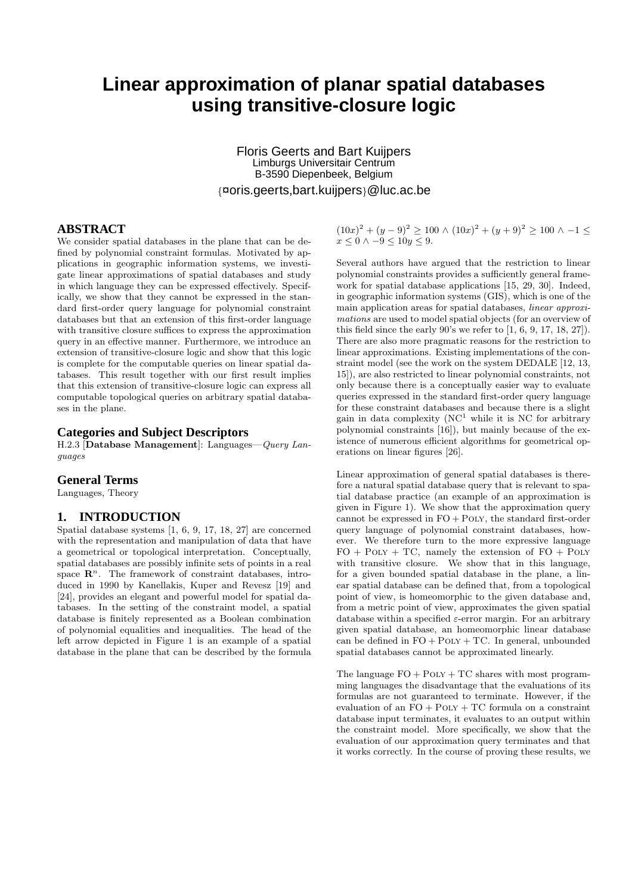# **Linear approximation of planar spatial databases using transitive-closure logic**

Floris Geerts and Bart Kuijpers Limburgs Universitair Centrum B-3590 Diepenbeek, Belgium {¤oris.geerts,bart.kuijpers}@luc.ac.be

# **ABSTRACT**

We consider spatial databases in the plane that can be defined by polynomial constraint formulas. Motivated by applications in geographic information systems, we investigate linear approximations of spatial databases and study in which language they can be expressed effectively. Specifically, we show that they cannot be expressed in the standard first-order query language for polynomial constraint databases but that an extension of this first-order language with transitive closure suffices to express the approximation query in an effective manner. Furthermore, we introduce an extension of transitive-closure logic and show that this logic is complete for the computable queries on linear spatial databases. This result together with our first result implies that this extension of transitive-closure logic can express all computable topological queries on arbitrary spatial databases in the plane.

#### **Categories and Subject Descriptors**

H.2.3 [**Database Management**]: Languages—Query Languages

# **General Terms**

Languages, Theory

# **1. INTRODUCTION**

Spatial database systems [1, 6, 9, 17, 18, 27] are concerned with the representation and manipulation of data that have a geometrical or topological interpretation. Conceptually, spatial databases are possibly infinite sets of points in a real space  $\mathbb{R}^n$ . The framework of constraint databases, introduced in 1990 by Kanellakis, Kuper and Revesz [19] and [24], provides an elegant and powerful model for spatial databases. In the setting of the constraint model, a spatial database is finitely represented as a Boolean combination of polynomial equalities and inequalities. The head of the left arrow depicted in Figure 1 is an example of a spatial database in the plane that can be described by the formula

 $(10x)^{2} + (y - 9)^{2} \ge 100 \wedge (10x)^{2} + (y + 9)^{2} \ge 100 \wedge -1 \le$  $x < 0 \land -9 < 10y < 9$ .

Several authors have argued that the restriction to linear polynomial constraints provides a sufficiently general framework for spatial database applications [15, 29, 30]. Indeed, in geographic information systems (GIS), which is one of the main application areas for spatial databases, linear approximations are used to model spatial objects (for an overview of this field since the early  $90$ 's we refer to  $[1, 6, 9, 17, 18, 27]$ . There are also more pragmatic reasons for the restriction to linear approximations. Existing implementations of the constraint model (see the work on the system DEDALE [12, 13, 15]), are also restricted to linear polynomial constraints, not only because there is a conceptually easier way to evaluate queries expressed in the standard first-order query language for these constraint databases and because there is a slight gain in data complexity  $(NC^1)$  while it is NC for arbitrary polynomial constraints [16]), but mainly because of the existence of numerous efficient algorithms for geometrical operations on linear figures [26].

Linear approximation of general spatial databases is therefore a natural spatial database query that is relevant to spatial database practice (an example of an approximation is given in Figure 1). We show that the approximation query cannot be expressed in  $FO + POLY$ , the standard first-order query language of polynomial constraint databases, however. We therefore turn to the more expressive language  $FO + POLY + TC$ , namely the extension of  $FO + POLY$ with transitive closure. We show that in this language, for a given bounded spatial database in the plane, a linear spatial database can be defined that, from a topological point of view, is homeomorphic to the given database and, from a metric point of view, approximates the given spatial database within a specified  $\varepsilon$ -error margin. For an arbitrary given spatial database, an homeomorphic linear database can be defined in  $FO + POLY + TC$ . In general, unbounded spatial databases cannot be approximated linearly.

The language  $FO + POLY + TC$  shares with most programming languages the disadvantage that the evaluations of its formulas are not guaranteed to terminate. However, if the evaluation of an  $FO + POLY + TC$  formula on a constraint database input terminates, it evaluates to an output within the constraint model. More specifically, we show that the evaluation of our approximation query terminates and that it works correctly. In the course of proving these results, we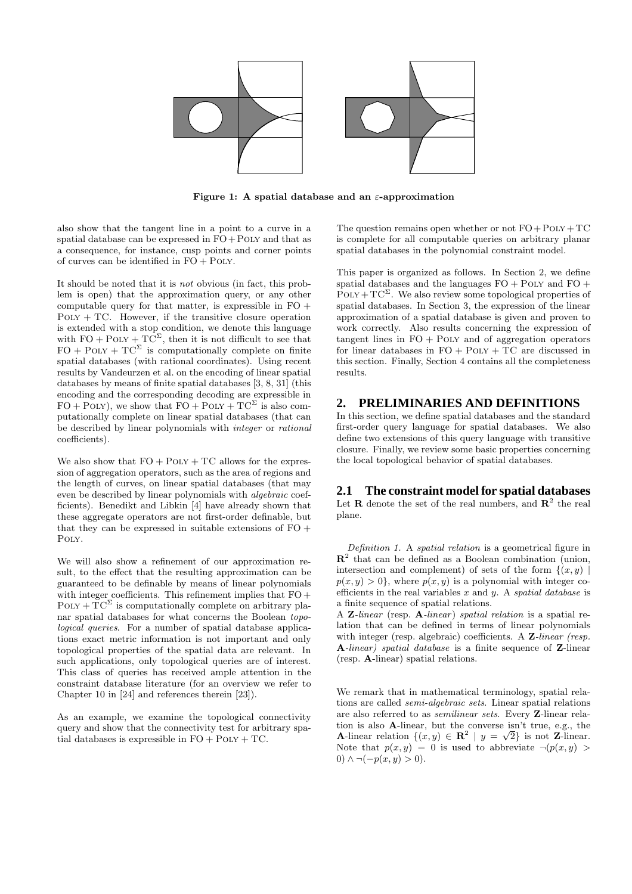

**Figure 1: A spatial database and an** ε**-approximation**

also show that the tangent line in a point to a curve in a spatial database can be expressed in  $FO+POLY$  and that as a consequence, for instance, cusp points and corner points of curves can be identified in  $FO + POLY$ .

It should be noted that it is not obvious (in fact, this problem is open) that the approximation query, or any other computable query for that matter, is expressible in  $FO +$  $POLY + TC$ . However, if the transitive closure operation is extended with a stop condition, we denote this language with  $FO + POLY + TC^{\Sigma}$ , then it is not difficult to see that  $FO + POLY + TC^{\Sigma}$  is computationally complete on finite spatial databases (with rational coordinates). Using recent results by Vandeurzen et al. on the encoding of linear spatial databases by means of finite spatial databases [3, 8, 31] (this encoding and the corresponding decoding are expressible in  $FO + POLY$ , we show that  $FO + POLY + TC^{\Sigma}$  is also computationally complete on linear spatial databases (that can be described by linear polynomials with integer or rational coefficients).

We also show that  $FO + POLY + TC$  allows for the expression of aggregation operators, such as the area of regions and the length of curves, on linear spatial databases (that may even be described by linear polynomials with algebraic coefficients). Benedikt and Libkin [4] have already shown that these aggregate operators are not first-order definable, but that they can be expressed in suitable extensions of  $FO +$ Poly.

We will also show a refinement of our approximation result, to the effect that the resulting approximation can be guaranteed to be definable by means of linear polynomials with integer coefficients. This refinement implies that  $FO +$  $\text{POLY} + \text{T} \text{C}^{\Sigma}$  is computationally complete on arbitrary planar spatial databases for what concerns the Boolean topological queries. For a number of spatial database applications exact metric information is not important and only topological properties of the spatial data are relevant. In such applications, only topological queries are of interest. This class of queries has received ample attention in the constraint database literature (for an overview we refer to Chapter 10 in [24] and references therein [23]).

As an example, we examine the topological connectivity query and show that the connectivity test for arbitrary spatial databases is expressible in  $FO + POLY + TC$ .

The question remains open whether or not  $FO + POLY + TC$ is complete for all computable queries on arbitrary planar spatial databases in the polynomial constraint model.

This paper is organized as follows. In Section 2, we define spatial databases and the languages  $FO + POLY$  and  $FO +$  $\text{POLY}+\text{TC}^{\Sigma}$ . We also review some topological properties of spatial databases. In Section 3, the expression of the linear approximation of a spatial database is given and proven to work correctly. Also results concerning the expression of tangent lines in  $FO + POLY$  and of aggregation operators for linear databases in  $FO + POLY + TC$  are discussed in this section. Finally, Section 4 contains all the completeness results.

# **2. PRELIMINARIES AND DEFINITIONS**

In this section, we define spatial databases and the standard first-order query language for spatial databases. We also define two extensions of this query language with transitive closure. Finally, we review some basic properties concerning the local topological behavior of spatial databases.

#### **2.1 The constraint model for spatial databases**

Let **R** denote the set of the real numbers, and  $\mathbb{R}^2$  the real plane.

Definition 1. A spatial relation is a geometrical figure in **R**<sup>2</sup> that can be defined as a Boolean combination (union, intersection and complement) of sets of the form  $\{(x, y) \mid$  $p(x, y) > 0$ , where  $p(x, y)$  is a polynomial with integer coefficients in the real variables  $x$  and  $y$ . A *spatial database* is a finite sequence of spatial relations.

A **Z**-linear (resp. **A**-linear) spatial relation is a spatial relation that can be defined in terms of linear polynomials with integer (resp. algebraic) coefficients. A **Z**-linear (resp. **A**-linear) spatial database is a finite sequence of **Z**-linear (resp. **A**-linear) spatial relations.

We remark that in mathematical terminology, spatial relations are called semi-algebraic sets. Linear spatial relations are also referred to as semilinear sets. Every **Z**-linear relation is also **A**-linear, but the converse isn't true, e.g., the **A**-linear relation  $\{(x, y) \in \mathbb{R}^2 \mid y = \sqrt{2}\}\)$  is not **Z**-linear. Note that  $p(x, y) = 0$  is used to abbreviate  $\neg(p(x, y))$ 0)  $\land \neg(-p(x, y) > 0)$ .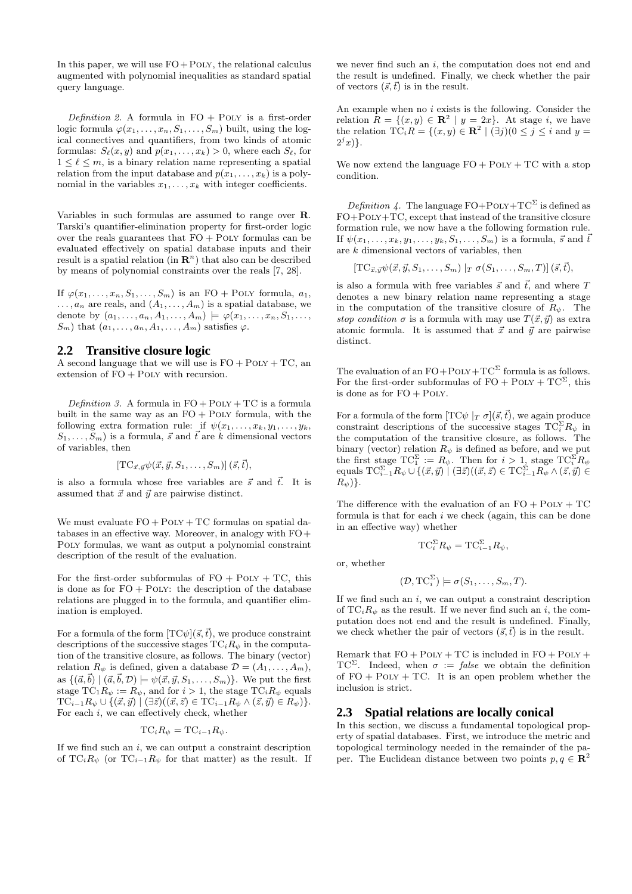In this paper, we will use  $FO + POLY$ , the relational calculus augmented with polynomial inequalities as standard spatial query language.

Definition 2. A formula in  $FO + POLY$  is a first-order logic formula  $\varphi(x_1,\ldots,x_n,S_1,\ldots,S_m)$  built, using the logical connectives and quantifiers, from two kinds of atomic formulas:  $S_{\ell}(x, y)$  and  $p(x_1,...,x_k) > 0$ , where each  $S_{\ell}$ , for  $1 \leq \ell \leq m$ , is a binary relation name representing a spatial relation from the input database and  $p(x_1,...,x_k)$  is a polynomial in the variables  $x_1, \ldots, x_k$  with integer coefficients.

Variables in such formulas are assumed to range over **R**. Tarski's quantifier-elimination property for first-order logic over the reals guarantees that  $FO + POLY$  formulas can be evaluated effectively on spatial database inputs and their result is a spatial relation (in  $\mathbb{R}^n$ ) that also can be described by means of polynomial constraints over the reals [7, 28].

If  $\varphi(x_1,\ldots,x_n,S_1,\ldots,S_m)$  is an FO + POLY formula,  $a_1$ ,  $\ldots, a_n$  are reals, and  $(A_1, \ldots, A_m)$  is a spatial database, we denote by  $(a_1, ..., a_n, A_1, ..., A_m) \models \varphi(x_1, ..., x_n, S_1, ...,$  $S_m$ ) that  $(a_1, \ldots, a_n, A_1, \ldots, A_m)$  satisfies  $\varphi$ .

#### **2.2 Transitive closure logic**

A second language that we will use is  $FO + POLY + TC$ , an extension of FO + Poly with recursion.

Definition 3. A formula in  $FO + POLY + TC$  is a formula built in the same way as an  $FO + POLY$  formula, with the following extra formation rule: if  $\psi(x_1,\ldots,x_k,y_1,\ldots,y_k,$  $S_1,\ldots,S_m$  is a formula,  $\vec{s}$  and  $\vec{t}$  are k dimensional vectors of variables, then

$$
[\text{TC}_{\vec{x},\vec{y}}\psi(\vec{x},\vec{y},S_1,\ldots,S_m)](\vec{s},\vec{t}),
$$

is also a formula whose free variables are  $\vec{s}$  and  $\vec{t}$ . It is assumed that  $\vec{x}$  and  $\vec{y}$  are pairwise distinct.

We must evaluate  $FO + POLY + TC$  formulas on spatial databases in an effective way. Moreover, in analogy with FO+ Poly formulas, we want as output a polynomial constraint description of the result of the evaluation.

For the first-order subformulas of  $FO + POLY + TC$ , this is done as for  $FO + POLY$ : the description of the database relations are plugged in to the formula, and quantifier elimination is employed.

For a formula of the form  $[TC\psi](\vec{s},\vec{t})$ , we produce constraint descriptions of the successive stages  $TC_iR_{\psi}$  in the computation of the transitive closure, as follows. The binary (vector) relation  $R_{\psi}$  is defined, given a database  $\mathcal{D} = (A_1, \ldots, A_m)$ , as  $\{(\vec{a}, \vec{b}) | (\vec{a}, \vec{b}, \mathcal{D}) \models \psi(\vec{x}, \vec{y}, S_1, \ldots, S_m)\}.$  We put the first stage  $TC_1R_{\psi} := R_{\psi}$ , and for  $i > 1$ , the stage  $TC_iR_{\psi}$  equals  $TC_{i-1}R_{\psi}\cup\{(\vec{x},\vec{y})\mid (\exists \vec{z})((\vec{x},\vec{z}) \in TC_{i-1}R_{\psi}\wedge(\vec{z},\vec{y})\in R_{\psi})\}.$ For each  $i$ , we can effectively check, whether

$$
\mathrm{TC}_i R_{\psi} = \mathrm{TC}_{i-1} R_{\psi}.
$$

If we find such an  $i$ , we can output a constraint description of TC<sub>i</sub> $R_{\psi}$  (or TC<sub>i−1</sub> $R_{\psi}$  for that matter) as the result. If

we never find such an  $i$ , the computation does not end and the result is undefined. Finally, we check whether the pair of vectors  $(\vec{s}, \vec{t})$  is in the result.

An example when no  $i$  exists is the following. Consider the relation  $R = \{(x, y) \in \mathbb{R}^2 \mid y = 2x\}$ . At stage *i*, we have the relation  $TC_iR = \{(x, y) \in \mathbb{R}^2 \mid (\exists j)(0 \leq j \leq i \text{ and } y = j\})$  $2^{j}x$ ).

We now extend the language  $FO + POLY + TC$  with a stop condition.

Definition 4. The language  $FO+POLY+TC^{\Sigma}$  is defined as FO+Poly+TC, except that instead of the transitive closure formation rule, we now have a the following formation rule. If  $\psi(x_1,\ldots,x_k,y_1,\ldots,y_k,S_1,\ldots,S_m)$  is a formula,  $\vec{s}$  and  $\vec{t}$ are  $k$  dimensional vectors of variables, then

$$
[\text{TC}_{\vec{x},\vec{y}}\psi(\vec{x},\vec{y},S_1,\ldots,S_m)|_T \sigma(S_1,\ldots,S_m,T)] (\vec{s},\vec{t}),
$$

is also a formula with free variables  $\vec{s}$  and  $\vec{t}$ , and where T denotes a new binary relation name representing a stage in the computation of the transitive closure of  $R_{\psi}$ . The stop condition  $\sigma$  is a formula with may use  $T(\vec{x}, \vec{y})$  as extra atomic formula. It is assumed that  $\vec{x}$  and  $\vec{y}$  are pairwise distinct.

The evaluation of an  $FO + POLY + TC^{\Sigma}$  formula is as follows. For the first-order subformulas of  $FO + \text{POLY} + \text{TC}^{\Sigma}$ , this is done as for  $FO + POLY$ .

For a formula of the form  $[TC\psi |_T \sigma](\vec{s}, \vec{t})$ , we again produce constraint descriptions of the successive stages  $TC_i^{\Sigma}R_{\psi}$  in the computation of the transitive closure, as follows. The binary (vector) relation  $R_{\psi}$  is defined as before, and we put the first stage  $TC_1^{\Sigma} := R_{\psi}$ . Then for  $i > 1$ , stage  $TC_i^{\Sigma}R_{\psi}$ equals  $TC_{i-1}^{\Sigma}R_{\psi}\cup\{(\vec{x},\vec{y})\mid (\exists\vec{z})((\vec{x},\vec{z})\in \mathrm{TC}_{i-1}^{\Sigma}R_{\psi}\wedge(\vec{z},\vec{y})\in$  $R_{\psi})\}.$ 

The difference with the evaluation of an  $FO + POLY + TC$ formula is that for each  $i$  we check (again, this can be done in an effective way) whether

$$
\mathrm{TC}_i^{\Sigma} R_{\psi} = \mathrm{TC}_{i-1}^{\Sigma} R_{\psi},
$$

or, whether

$$
(\mathcal{D}, \mathrm{TC}_i^{\Sigma}) \models \sigma(S_1, \ldots, S_m, T).
$$

If we find such an  $i$ , we can output a constraint description of  $TC_iR_{\psi}$  as the result. If we never find such an i, the computation does not end and the result is undefined. Finally, we check whether the pair of vectors  $(\vec{s}, \vec{t})$  is in the result.

Remark that  $FO + POLY + TC$  is included in  $FO + POLY +$ TC<sup>Σ</sup>. Indeed, when  $\sigma := \text{false}$  we obtain the definition of  $FO + POLY + TC$ . It is an open problem whether the inclusion is strict.

#### **2.3 Spatial relations are locally conical**

In this section, we discuss a fundamental topological property of spatial databases. First, we introduce the metric and topological terminology needed in the remainder of the paper. The Euclidean distance between two points  $p, q \in \mathbb{R}^2$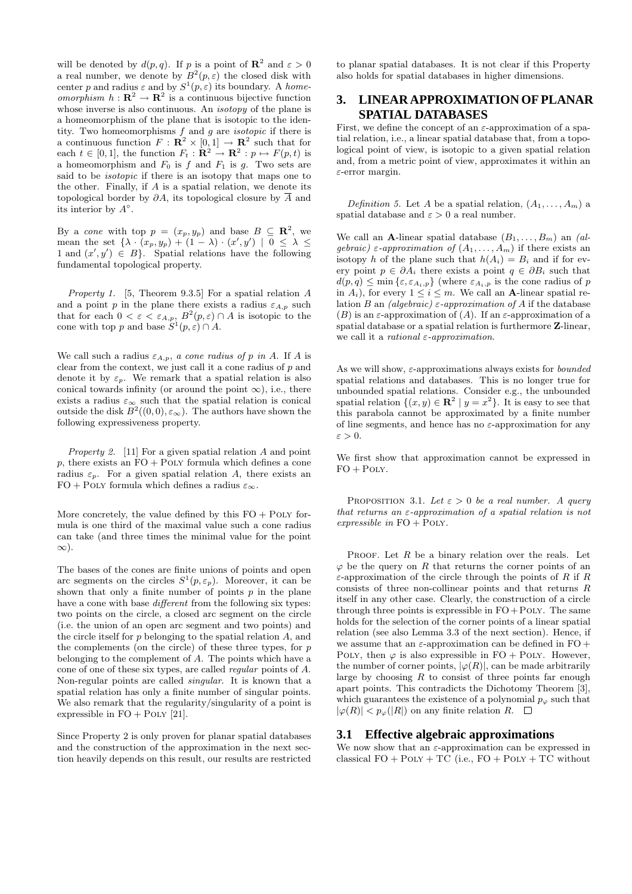will be denoted by  $d(p, q)$ . If p is a point of  $\mathbb{R}^2$  and  $\varepsilon > 0$ a real number, we denote by  $B^2(p,\varepsilon)$  the closed disk with center p and radius  $\varepsilon$  and by  $S^1(p, \varepsilon)$  its boundary. A homeomorphism  $h : \mathbf{R}^2 \to \mathbf{R}^2$  is a continuous bijective function whose inverse is also continuous. An *isotopy* of the plane is a homeomorphism of the plane that is isotopic to the identity. Two homeomorphisms  $f$  and  $g$  are *isotopic* if there is a continuous function  $F: \mathbb{R}^2 \times [0,1] \to \mathbb{R}^2$  such that for each  $t \in [0, 1]$ , the function  $F_t : \mathbf{R}^2 \to \mathbf{R}^2 : p \mapsto F(p, t)$  is a homeomorphism and  $F_0$  is f and  $F_1$  is g. Two sets are said to be *isotopic* if there is an isotopy that maps one to the other. Finally, if  $A$  is a spatial relation, we denote its topological border by  $\partial A$ , its topological closure by A and its interior by  $A^\circ$ .

By a *cone* with top  $p = (x_p, y_p)$  and base  $B \subseteq \mathbb{R}^2$ , we mean the set  $\{\lambda \cdot (x_p, y_p) + (1 - \lambda) \cdot (x', y') \mid 0 \leq \lambda \leq$ 1 and  $(x', y') \in B$ . Spatial relations have the following fundamental topological property.

Property 1. [5, Theorem 9.3.5] For a spatial relation A and a point p in the plane there exists a radius  $\varepsilon_{A,p}$  such that for each  $0 < \varepsilon < \varepsilon_{A,p}$ ,  $B^2(p,\varepsilon) \cap A$  is isotopic to the cone with top p and base  $S^1(p, \varepsilon) \cap A$ .

We call such a radius  $\varepsilon_{A,p}$ , a cone radius of p in A. If A is clear from the context, we just call it a cone radius of  $p$  and denote it by  $\varepsilon_p$ . We remark that a spatial relation is also conical towards infinity (or around the point  $\infty$ ), i.e., there exists a radius  $\varepsilon_{\infty}$  such that the spatial relation is conical outside the disk  $B^2((0,0), \varepsilon_\infty)$ . The authors have shown the following expressiveness property.

Property 2. [11] For a given spatial relation A and point  $p$ , there exists an  $FO + POLY$  formula which defines a cone radius  $\varepsilon_p$ . For a given spatial relation A, there exists an FO + POLY formula which defines a radius  $\varepsilon_{\infty}$ .

More concretely, the value defined by this  $FO + POLY$  formula is one third of the maximal value such a cone radius can take (and three times the minimal value for the point ∞).

The bases of the cones are finite unions of points and open arc segments on the circles  $S^1(p, \varepsilon_p)$ . Moreover, it can be shown that only a finite number of points  $p$  in the plane have a cone with base *different* from the following six types: two points on the circle, a closed arc segment on the circle (i.e. the union of an open arc segment and two points) and the circle itself for  $p$  belonging to the spatial relation  $A$ , and the complements (on the circle) of these three types, for p belonging to the complement of A. The points which have a cone of one of these six types, are called regular points of A. Non-regular points are called singular. It is known that a spatial relation has only a finite number of singular points. We also remark that the regularity/singularity of a point is expressible in  $FO + POLY$  [21].

Since Property 2 is only proven for planar spatial databases and the construction of the approximation in the next section heavily depends on this result, our results are restricted to planar spatial databases. It is not clear if this Property also holds for spatial databases in higher dimensions.

# **3. LINEAR APPROXIMATION OF PLANAR SPATIAL DATABASES**

First, we define the concept of an  $\varepsilon$ -approximation of a spatial relation, i.e., a linear spatial database that, from a topological point of view, is isotopic to a given spatial relation and, from a metric point of view, approximates it within an ε-error margin.

Definition 5. Let A be a spatial relation,  $(A_1, \ldots, A_m)$  a spatial database and  $\varepsilon > 0$  a real number.

We call an **A**-linear spatial database  $(B_1, \ldots, B_m)$  an *(al*gebraic)  $\varepsilon$ -approximation of  $(A_1, \ldots, A_m)$  if there exists an isotopy h of the plane such that  $h(A_i) = B_i$  and if for every point  $p \in \partial A_i$  there exists a point  $q \in \partial B_i$  such that  $d(p, q) \leq \min\{\varepsilon, \varepsilon_{A_i, p}\}\$  (where  $\varepsilon_{A_i, p}$  is the cone radius of p in  $A_i$ , for every  $1 \leq i \leq m$ . We call an **A**-linear spatial relation B an (algebraic)  $\varepsilon$ -approximation of A if the database (B) is an  $\varepsilon$ -approximation of (A). If an  $\varepsilon$ -approximation of a spatial database or a spatial relation is furthermore **Z**-linear, we call it a *rational*  $\varepsilon$ -*approximation*.

As we will show,  $\varepsilon$ -approximations always exists for *bounded* spatial relations and databases. This is no longer true for unbounded spatial relations. Consider e.g., the unbounded spatial relation  $\{(x, y) \in \mathbb{R}^2 \mid y = x^2\}$ . It is easy to see that this parabola cannot be approximated by a finite number of line segments, and hence has no  $\varepsilon$ -approximation for any  $\varepsilon > 0$ .

We first show that approximation cannot be expressed in  $FO + POLY.$ 

PROPOSITION 3.1. Let  $\varepsilon > 0$  be a real number. A query that returns an  $\varepsilon$ -approximation of a spatial relation is not expressible in  $FO + POLY$ .

PROOF. Let  $R$  be a binary relation over the reals. Let  $\varphi$  be the query on R that returns the corner points of an  $\varepsilon$ -approximation of the circle through the points of R if R consists of three non-collinear points and that returns R itself in any other case. Clearly, the construction of a circle through three points is expressible in  $FO+POLY$ . The same holds for the selection of the corner points of a linear spatial relation (see also Lemma 3.3 of the next section). Hence, if we assume that an  $\varepsilon$ -approximation can be defined in FO + POLY, then  $\varphi$  is also expressible in FO + POLY. However, the number of corner points,  $|\varphi(R)|$ , can be made arbitrarily large by choosing  $R$  to consist of three points far enough apart points. This contradicts the Dichotomy Theorem [3], which guarantees the existence of a polynomial  $p_{\varphi}$  such that  $|\varphi(R)| < p_{\varphi}(|R|)$  on any finite relation R.  $\Box$ 

#### **3.1 Effective algebraic approximations**

We now show that an  $\varepsilon$ -approximation can be expressed in classical  $FO + POLY + TC$  (i.e.,  $FO + POLY + TC$  without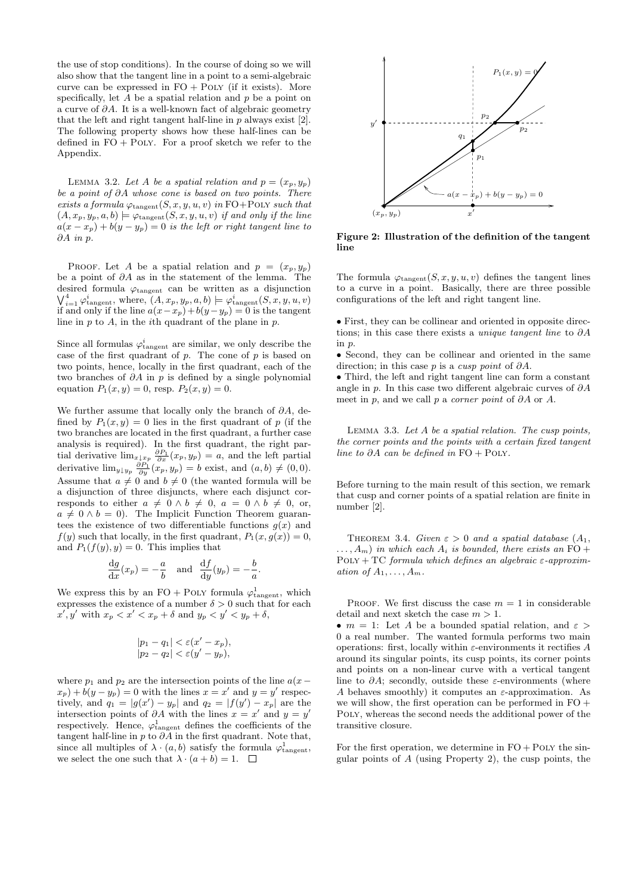the use of stop conditions). In the course of doing so we will also show that the tangent line in a point to a semi-algebraic curve can be expressed in  $FO + POLY$  (if it exists). More specifically, let  $A$  be a spatial relation and  $p$  be a point on a curve of  $\partial A$ . It is a well-known fact of algebraic geometry that the left and right tangent half-line in  $p$  always exist  $[2]$ . The following property shows how these half-lines can be defined in  $FO + POLY$ . For a proof sketch we refer to the Appendix.

LEMMA 3.2. Let A be a spatial relation and  $p = (x_p, y_p)$ be a point of ∂A whose cone is based on two points. There exists a formula  $\varphi_{\text{tangent}}(S, x, y, u, v)$  in  $\text{FO}+\text{POLY}$  such that  $(A, x_p, y_p, a, b) \models \varphi_{\text{tangent}}(S, x, y, u, v)$  if and only if the line  $a(x-x_p)+b(y-y_p)=0$  is the left or right tangent line to ∂A in p.

PROOF. Let A be a spatial relation and  $p = (x_p, y_p)$ be a point of ∂A as in the statement of the lemma. The desired formula  $\varphi_{\text{tangent}}$  can be written as a disjunction  $\bigvee_{i=1}^4 \varphi_{\text{tangent}}^i$ , where,  $(A, x_p, y_p, a, b) \models \varphi_{\text{tangent}}^i(S, x, y, u, v)$ if and only if the line  $a(x-x_p)+b(y-y_p) = 0$  is the tangent line in  $p$  to  $A$ , in the *i*th quadrant of the plane in  $p$ .

Since all formulas  $\varphi_{\text{tangent}}^i$  are similar, we only describe the case of the first quadrant of  $p$ . The cone of  $p$  is based on two points, hence, locally in the first quadrant, each of the two branches of  $\partial A$  in p is defined by a single polynomial equation  $P_1(x, y) = 0$ , resp.  $P_2(x, y) = 0$ .

We further assume that locally only the branch of  $\partial A$ , defined by  $P_1(x, y) = 0$  lies in the first quadrant of p (if the two branches are located in the first quadrant, a further case analysis is required). In the first quadrant, the right partial derivative  $\lim_{x\downarrow x_p} \frac{\partial P_1}{\partial x}(x_p, y_p) = a$ , and the left partial derivative  $\lim_{y \downarrow y_p} \frac{\partial P_1}{\partial y}(x_p, y_p) = b$  exist, and  $(a, b) \neq (0, 0)$ . Assume that  $a \neq 0$  and  $b \neq 0$  (the wanted formula will be a disjunction of three disjuncts, where each disjunct corresponds to either  $a \neq 0 \wedge b \neq 0$ ,  $a = 0 \wedge b \neq 0$ , or,  $a \neq 0 \wedge b = 0$ . The Implicit Function Theorem guarantees the existence of two differentiable functions  $g(x)$  and  $f(y)$  such that locally, in the first quadrant,  $P_1(x, g(x)) = 0$ , and  $P_1(f(y), y) = 0$ . This implies that

$$
\frac{dg}{dx}(x_p) = -\frac{a}{b} \text{ and } \frac{df}{dy}(y_p) = -\frac{b}{a}.
$$

We express this by an FO + POLY formula  $\varphi_{\text{tangent}}^1$ , which expresses the existence of a number  $\delta > 0$  such that for each  $x', y'$  with  $x_p < x' < x_p + \delta$  and  $y_p < y' < y_p + \delta$ ,

$$
|p_1 - q_1| < \varepsilon (x' - x_p),
$$
\n
$$
|p_2 - q_2| < \varepsilon (y' - y_p),
$$

where  $p_1$  and  $p_2$  are the intersection points of the line  $a(x (x_p) + b(y - y_p) = 0$  with the lines  $x = x'$  and  $y = y'$  respectively, and  $q_1 = |g(x') - y_p|$  and  $q_2 = |f(y') - x_p|$  are the intersection points of  $\partial A$  with the lines  $x = x'$  and  $y = y'$ respectively. Hence,  $\varphi_{\text{tangent}}^1$  defines the coefficients of the tangent half-line in p to  $\partial \tilde{A}$  in the first quadrant. Note that, since all multiples of  $\lambda \cdot (a, b)$  satisfy the formula  $\varphi_{\text{tangent}}^1$ , we select the one such that  $\lambda \cdot (a+b) = 1$ .  $\Box$ 



**Figure 2: Illustration of the definition of the tangent line**

The formula  $\varphi_{\text{tangent}}(S, x, y, u, v)$  defines the tangent lines to a curve in a point. Basically, there are three possible configurations of the left and right tangent line.

• First, they can be collinear and oriented in opposite directions; in this case there exists a *unique tangent line* to  $\partial A$ in p.

• Second, they can be collinear and oriented in the same direction; in this case p is a cusp point of  $\partial A$ .

• Third, the left and right tangent line can form a constant angle in p. In this case two different algebraic curves of  $\partial A$ meet in p, and we call p a *corner point* of  $\partial A$  or A.

LEMMA 3.3. Let  $A$  be a spatial relation. The cusp points, the corner points and the points with a certain fixed tangent line to ∂A can be defined in  $FO + POLY$ .

Before turning to the main result of this section, we remark that cusp and corner points of a spatial relation are finite in number [2].

THEOREM 3.4. Given  $\varepsilon > 0$  and a spatial database  $(A_1,$  $\dots, A_m$ ) in which each  $A_i$  is bounded, there exists an FO +  $\text{PoLY} + \text{TC}$  formula which defines an algebraic  $\varepsilon$ -approximation of  $A_1, \ldots, A_m$ .

PROOF. We first discuss the case  $m = 1$  in considerable detail and next sketch the case  $m > 1$ .

•  $m = 1$ : Let A be a bounded spatial relation, and  $\varepsilon >$ 0 a real number. The wanted formula performs two main operations: first, locally within  $\varepsilon$ -environments it rectifies A around its singular points, its cusp points, its corner points and points on a non-linear curve with a vertical tangent line to  $\partial A$ ; secondly, outside these  $\varepsilon$ -environments (where A behaves smoothly) it computes an  $\varepsilon$ -approximation. As we will show, the first operation can be performed in  $FO +$ Poly, whereas the second needs the additional power of the transitive closure.

For the first operation, we determine in  $FO + POLY$  the singular points of  $A$  (using Property 2), the cusp points, the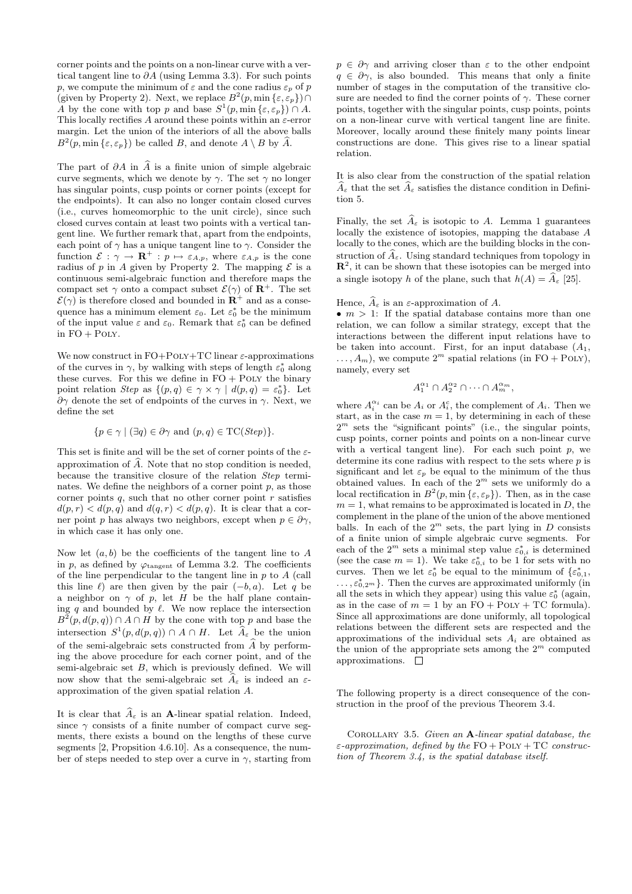corner points and the points on a non-linear curve with a vertical tangent line to ∂A (using Lemma 3.3). For such points p, we compute the minimum of  $\varepsilon$  and the cone radius  $\varepsilon_p$  of p (given by Property 2). Next, we replace  $B^2(p, \min\{\varepsilon, \varepsilon_p\}) \cap$ A by the cone with top p and base  $S^1(p, \min\{\varepsilon, \varepsilon_p\}) \cap A$ . This locally rectifies A around these points within an  $\varepsilon$ -error margin. Let the union of the interiors of all the above balls  $B^2(p, \min\{\varepsilon, \varepsilon_p\})$  be called B, and denote  $A \setminus B$  by  $\widehat{A}$ .

The part of  $\partial A$  in A is a finite union of simple algebraic curve segments, which we denote by  $\gamma$ . The set  $\gamma$  no longer has singular points, cusp points or corner points (except for the endpoints). It can also no longer contain closed curves (i.e., curves homeomorphic to the unit circle), since such closed curves contain at least two points with a vertical tangent line. We further remark that, apart from the endpoints, each point of  $\gamma$  has a unique tangent line to  $\gamma$ . Consider the function  $\mathcal{E} : \gamma \to \mathbf{R}^+ : p \mapsto \varepsilon_{A,p}$ , where  $\varepsilon_{A,p}$  is the cone radius of p in A given by Property 2. The mapping  $\mathcal E$  is a continuous semi-algebraic function and therefore maps the compact set  $\gamma$  onto a compact subset  $\mathcal{E}(\gamma)$  of  $\mathbb{R}^+$ . The set  $\mathcal{E}(\gamma)$  is therefore closed and bounded in  $\mathbb{R}^+$  and as a consequence has a minimum element  $\varepsilon_0$ . Let  $\varepsilon_0^*$  be the minimum of the input value  $\varepsilon$  and  $\varepsilon_0$ . Remark that  $\varepsilon_0^*$  can be defined in  $FO + POLY$ .

We now construct in  $FO+POLY+TC$  linear  $\varepsilon$ -approximations of the curves in  $\gamma$ , by walking with steps of length  $\varepsilon_0^*$  along these curves. For this we define in  $FO + POLY$  the binary point relation Step as  $\{(p,q) \in \gamma \times \gamma \mid d(p,q) = \varepsilon_0^*\}$ . Let ∂γ denote the set of endpoints of the curves in γ. Next, we define the set

$$
\{p \in \gamma \mid (\exists q) \in \partial \gamma \text{ and } (p,q) \in \mathrm{TC}(Step)\}.
$$

This set is finite and will be the set of corner points of the  $\varepsilon$ approximation of A-. Note that no stop condition is needed, because the transitive closure of the relation Step terminates. We define the neighbors of a corner point  $p$ , as those corner points q, such that no other corner point  $r$  satisfies  $d(p, r) < d(p, q)$  and  $d(q, r) < d(p, q)$ . It is clear that a corner point p has always two neighbors, except when  $p \in \partial \gamma$ , in which case it has only one.

Now let  $(a, b)$  be the coefficients of the tangent line to A in p, as defined by  $\varphi_{\text{tangent}}$  of Lemma 3.2. The coefficients of the line perpendicular to the tangent line in  $p$  to  $A$  (call this line  $\ell$ ) are then given by the pair  $(-b, a)$ . Let q be a neighbor on  $\gamma$  of p, let H be the half plane containing  $q$  and bounded by  $\ell$ . We now replace the intersection  $B^2(p, d(p, q)) \cap A \cap H$  by the cone with top p and base the intersection  $S^1(p, d(p, q)) \cap A \cap H$ . Let  $\widehat{A}_{\varepsilon}$  be the union of the semi-algebraic sets constructed from A- by performing the above procedure for each corner point, and of the semi-algebraic set  $B$ , which is previously defined. We will now show that the semi-algebraic set  $A_{\varepsilon}$  is indeed an  $\varepsilon$ approximation of the given spatial relation A.

It is clear that  $A_{\varepsilon}$  is an **A**-linear spatial relation. Indeed, since  $\gamma$  consists of a finite number of compact curve segments, there exists a bound on the lengths of these curve segments [2, Propsition 4.6.10]. As a consequence, the number of steps needed to step over a curve in  $\gamma$ , starting from  $p \in \partial \gamma$  and arriving closer than  $\varepsilon$  to the other endpoint  $q \in \partial \gamma$ , is also bounded. This means that only a finite number of stages in the computation of the transitive closure are needed to find the corner points of  $\gamma$ . These corner points, together with the singular points, cusp points, points on a non-linear curve with vertical tangent line are finite. Moreover, locally around these finitely many points linear constructions are done. This gives rise to a linear spatial relation.

It is also clear from the construction of the spatial relation  $A_{\varepsilon}$  that the set  $A_{\varepsilon}$  satisfies the distance condition in Definition 5.

Finally, the set  $A_{\varepsilon}$  is isotopic to A. Lemma 1 guarantees locally the existence of isotopies, mapping the database A locally to the cones, which are the building blocks in the construction of  $A_{\varepsilon}$ . Using standard techniques from topology in **R**<sup>2</sup>, it can be shown that these isotopies can be merged into a single isotopy h of the plane, such that  $h(A) = A_{\varepsilon}$  [25].

Hence,  $A_{\varepsilon}$  is an  $\varepsilon$ -approximation of A.

•  $m > 1$ : If the spatial database contains more than one relation, we can follow a similar strategy, except that the interactions between the different input relations have to be taken into account. First, for an input database  $(A_1,$  $\dots, A_m$ , we compute  $2^m$  spatial relations (in FO + PoLY), namely, every set

$$
A_1^{\alpha_1} \cap A_2^{\alpha_2} \cap \cdots \cap A_m^{\alpha_m},
$$

where  $A_i^{\alpha_i}$  can be  $A_i$  or  $A_i^c$ , the complement of  $A_i$ . Then we start, as in the case  $m = 1$ , by determining in each of these  $2<sup>m</sup>$  sets the "significant points" (i.e., the singular points, cusp points, corner points and points on a non-linear curve with a vertical tangent line). For each such point  $p$ , we determine its cone radius with respect to the sets where  $p$  is significant and let  $\varepsilon_p$  be equal to the minimum of the thus obtained values. In each of the  $2^m$  sets we uniformly do a local rectification in  $B^2(p, \min{\{\varepsilon, \varepsilon_p\}})$ . Then, as in the case  $m = 1$ , what remains to be approximated is located in  $D$ , the complement in the plane of the union of the above mentioned balls. In each of the  $2^m$  sets, the part lying in D consists of a finite union of simple algebraic curve segments. For each of the  $2^m$  sets a minimal step value  $\varepsilon_{0,i}^*$  is determined (see the case  $m = 1$ ). We take  $\varepsilon_{0,i}^*$  to be 1 for sets with no curves. Then we let  $\varepsilon_0^*$  be equal to the minimum of  $\{\varepsilon_{0,1}^*,\}$  $\ldots, \varepsilon_{0,2^m}^*$ . Then the curves are approximated uniformly (in all the sets in which they appear) using this value  $\varepsilon_0^*$  (again, as in the case of  $m = 1$  by an  $FO + POLY + TC$  formula). Since all approximations are done uniformly, all topological relations between the different sets are respected and the approximations of the individual sets  $A_i$  are obtained as the union of the appropriate sets among the  $2^m$  computed approximations.  $\square$ 

The following property is a direct consequence of the construction in the proof of the previous Theorem 3.4.

Corollary 3.5. Given an **A**-linear spatial database, the  $\varepsilon$ -approximation, defined by the  $FO + POLY + TC$  construction of Theorem 3.4, is the spatial database itself.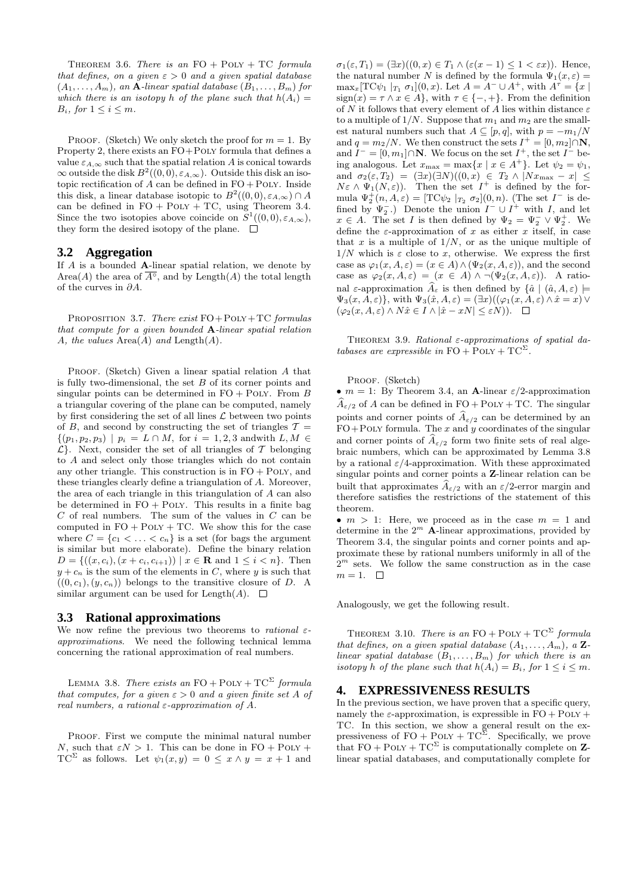THEOREM 3.6. There is an  $FO + POLY + TC$  formula that defines, on a given  $\varepsilon > 0$  and a given spatial database  $(A_1, \ldots, A_m)$ , an **A**-linear spatial database  $(B_1, \ldots, B_m)$  for which there is an isotopy h of the plane such that  $h(A_i) =$  $B_i$ , for  $1 \leq i \leq m$ .

PROOF. (Sketch) We only sketch the proof for  $m = 1$ . By Property 2, there exists an FO+Poly formula that defines a value  $\varepsilon_{A,\infty}$  such that the spatial relation A is conical towards  $\infty$  outside the disk  $B^2((0,0), \varepsilon_{A,\infty})$ . Outside this disk an isotopic rectification of  $A$  can be defined in  $FO + POLY$ . Inside this disk, a linear database isotopic to  $B^2((0,0), \varepsilon_{A,\infty}) \cap A$ can be defined in  $FO + POLY + TC$ , using Theorem 3.4. Since the two isotopies above coincide on  $S^1((0,0), \varepsilon_{A,\infty})$ , they form the desired isotopy of the plane.  $\Box$ 

#### **3.2 Aggregation**

If A is a bounded **A**-linear spatial relation, we denote by Area(A) the area of  $\overline{A^{\circ}}$ , and by Length(A) the total length of the curves in  $\partial A$ .

PROPOSITION 3.7. There exist  $FO + POLY + TC$  formulas that compute for a given bounded **A**-linear spatial relation A, the values  $Area(A)$  and  $Length(A)$ .

PROOF. (Sketch) Given a linear spatial relation A that is fully two-dimensional, the set  $B$  of its corner points and singular points can be determined in  $FO + POLY$ . From B a triangular covering of the plane can be computed, namely by first considering the set of all lines  $\mathcal L$  between two points of B, and second by constructing the set of triangles  $T =$  $\{(p_1, p_2, p_3) \mid p_i = L \cap M, \text{ for } i = 1, 2, 3 \text{ and with } L, M \in$  $\mathcal{L}$ . Next, consider the set of all triangles of T belonging to A and select only those triangles which do not contain any other triangle. This construction is in  $FO + POLY$ , and these triangles clearly define a triangulation of A. Moreover, the area of each triangle in this triangulation of A can also be determined in  $FO + POLY$ . This results in a finite bag  $C$  of real numbers. The sum of the values in  $C$  can be computed in  $FO + POLY + TC$ . We show this for the case where  $C = \{c_1 < \ldots < c_n\}$  is a set (for bags the argument is similar but more elaborate). Define the binary relation  $D = \{((x, c_i), (x + c_i, c_{i+1})) \mid x \in \mathbf{R} \text{ and } 1 \leq i < n\}.$  Then  $y + c_n$  is the sum of the elements in C, where y is such that  $((0, c_1), (y, c_n))$  belongs to the transitive closure of D. A similar argument can be used for Length $(A)$ .  $\Box$ 

#### **3.3 Rational approximations**

We now refine the previous two theorems to *rational*  $\varepsilon$ approximations. We need the following technical lemma concerning the rational approximation of real numbers.

LEMMA 3.8. There exists an  $FO + POLY + TC^{\Sigma}$  formula that computes, for a given  $\varepsilon > 0$  and a given finite set A of real numbers, a rational  $\varepsilon$ -approximation of A.

PROOF. First we compute the minimal natural number N, such that  $\varepsilon N > 1$ . This can be done in FO + POLY + TC<sup>Σ</sup> as follows. Let  $\psi_1(x, y) = 0 \leq x \wedge y = x + 1$  and

 $\sigma_1(\varepsilon,T_1)=(\exists x)((0,x)\in T_1\wedge(\varepsilon(x-1)\leq 1<\varepsilon x)).$  Hence, the natural number N is defined by the formula  $\Psi_1(x,\varepsilon) =$  $\max_x[\text{TC}\psi_1 |_{T_1} \sigma_1](0, x)$ . Let  $A = A^- \cup A^+$ , with  $A^T = \{x \mid$  $sign(x) = \tau \wedge x \in A$ , with  $\tau \in \{-, +\}$ . From the definition of N it follows that every element of A lies within distance  $\varepsilon$ to a multiple of  $1/N$ . Suppose that  $m_1$  and  $m_2$  are the smallest natural numbers such that  $A \subseteq [p,q]$ , with  $p = -m_1/N$ and  $q = m_2/N$ . We then construct the sets  $I^+ = [0, m_2] \cap \mathbb{N}$ , and  $I^- = [0, m_1] \cap \mathbb{N}$ . We focus on the set  $I^+$ , the set  $I^-$  being analogous. Let  $x_{\text{max}} = \max\{x \mid x \in A^+\}$ . Let  $\psi_2 = \psi_1$ , and  $\sigma_2(\varepsilon, T_2) = (\exists x)(\exists N)((0, x) \in T_2 \wedge |Nx_{\max} - x| \leq$  $N\varepsilon \wedge \Psi_1(N,\varepsilon)$ . Then the set  $I^+$  is defined by the formula  $\Psi_2^+(n, A, \varepsilon) = [\text{TC} \psi_2 \vert_{T_2} \sigma_2](0, n)$ . (The set  $I^-$  is defined by  $\Psi_2^-$ .) Denote the union  $I^- \cup I^+$  with I, and let  $x \in A$ . The set I is then defined by  $\Psi_2 = \Psi_2^- \vee \Psi_2^+$ . We define the  $\varepsilon$ -approximation of x as either x itself, in case that  $x$  is a multiple of  $1/N$ , or as the unique multiple of  $1/N$  which is  $\varepsilon$  close to x, otherwise. We express the first case as  $\varphi_1(x, A, \varepsilon) = (x \in A) \wedge (\Psi_2(x, A, \varepsilon))$ , and the second case as  $\varphi_2(x, A, \varepsilon)=(x \in A) \wedge \neg(\Psi_2(x, A, \varepsilon)).$  A rational  $\varepsilon$ -approximation  $A_{\varepsilon}$  is then defined by  $\{\hat{a} \mid (\hat{a}, A, \varepsilon) \models$  $\Psi_3(x, A, \varepsilon)$ , with  $\Psi_3(\hat{x}, A, \varepsilon) = (\exists x)((\varphi_1(x, A, \varepsilon) \wedge \hat{x} = x) \vee$  $(\varphi_2(x, A, \varepsilon) \wedge N\hat{x} \in I \wedge |\hat{x} - xN| \leq \varepsilon N). \quad \Box$ 

THEOREM 3.9. Rational  $\varepsilon$ -approximations of spatial databases are expressible in  $FO + POLY + TC^{\Sigma}$ .

PROOF. (Sketch)

•  $m = 1$ : By Theorem 3.4, an **A**-linear  $\varepsilon/2$ -approximation  $A_{\varepsilon/2}$  of A can be defined in FO + POLY + TC. The singular points and corner points of  $A_{\varepsilon/2}$  can be determined by an  $FO+POLY$  formula. The x and y coordinates of the singular and corner points of  $A_{\varepsilon/2}$  form two finite sets of real algebraic numbers, which can be approximated by Lemma 3.8 by a rational  $\varepsilon/4$ -approximation. With these approximated singular points and corner points a **Z**-linear relation can be built that approximates  $A_{\varepsilon/2}$  with an  $\varepsilon/2$ -error margin and therefore satisfies the restrictions of the statement of this theorem.

•  $m > 1$ : Here, we proceed as in the case  $m = 1$  and determine in the  $2^m$  **A**-linear approximations, provided by Theorem 3.4, the singular points and corner points and approximate these by rational numbers uniformly in all of the  $2^m$  sets. We follow the same construction as in the case  $m = 1.$   $\Box$ 

Analogously, we get the following result.

THEOREM 3.10. There is an  $FO + POLY + TC^{\Sigma}$  formula that defines, on a given spatial database  $(A_1, \ldots, A_m)$ , a **Z**linear spatial database  $(B_1, \ldots, B_m)$  for which there is an isotopy h of the plane such that  $h(A_i) = B_i$ , for  $1 \leq i \leq m$ .

### **4. EXPRESSIVENESS RESULTS**

In the previous section, we have proven that a specific query, namely the  $\varepsilon$ -approximation, is expressible in  $FO + POLY +$ TC. In this section, we show a general result on the expressiveness of  $FO + POLY + TC^{\Sigma}$ . Specifically, we prove that  $FO + POLY + TC^{\Sigma}$  is computationally complete on **Z**linear spatial databases, and computationally complete for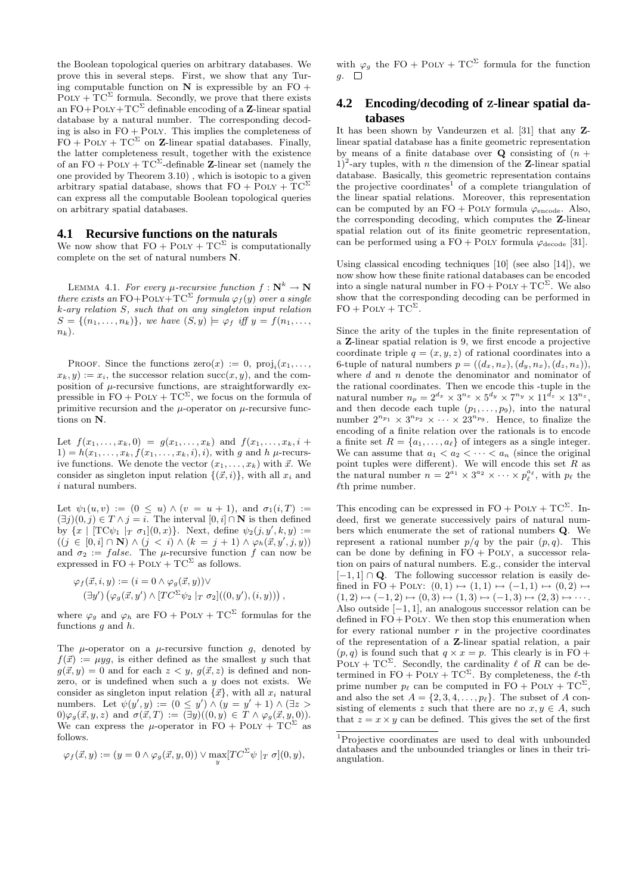the Boolean topological queries on arbitrary databases. We prove this in several steps. First, we show that any Turing computable function on  $N$  is expressible by an  $FO +$  $\text{POLY} + \text{TC}^{\Sigma}$  formula. Secondly, we prove that there exists an  $FO + POLY + TC^{\Sigma}$  definable encoding of a **Z**-linear spatial database by a natural number. The corresponding decoding is also in  $FO + POLY$ . This implies the completeness of  $FO + POLY + TC^{\Sigma}$  on **Z**-linear spatial databases. Finally, the latter completeness result, together with the existence of an  $FO + POLY + TC^{\Sigma}$ -definable **Z**-linear set (namely the one provided by Theorem 3.10) , which is isotopic to a given arbitrary spatial database, shows that  $FO + POLY + TC^{\Sigma}$ can express all the computable Boolean topological queries on arbitrary spatial databases.

#### **4.1 Recursive functions on the naturals**

We now show that  $FO + POLY + TC^{\Sigma}$  is computationally complete on the set of natural numbers **N**.

LEMMA 4.1. For every  $\mu$ -recursive function  $f: \mathbb{N}^k \to \mathbb{N}$ there exists an FO+POLY+TC<sup> $\Sigma$ </sup> formula  $\varphi_f(y)$  over a single k-ary relation S, such that on any singleton input relation  $S = \{(n_1,\ldots,n_k)\}\text{, we have } (S, y) \models \varphi_f \text{ iff } y = f(n_1,\ldots,n_k)\}$  $n_k$ ).

PROOF. Since the functions  $\text{zero}(x) := 0$ ,  $\text{proj}_i(x_1,\ldots,$  $x_k, y) := x_i$ , the successor relation succ $(x, y)$ , and the composition of  $\mu$ -recursive functions, are straightforwardly expressible in  $FO + POLY + TC^{\Sigma}$ , we focus on the formula of primitive recursion and the  $\mu$ -operator on  $\mu$ -recursive functions on **N**.

Let  $f(x_1,...,x_k,0) = g(x_1,...,x_k)$  and  $f(x_1,...,x_k, i +$  $1) = h(x_1,...,x_k, f(x_1,...,x_k, i), i)$ , with g and h  $\mu$ -recursive functions. We denote the vector  $(x_1, \ldots, x_k)$  with  $\vec{x}$ . We consider as singleton input relation  $\{(\vec{x}, i)\}\$ , with all  $x_i$  and  $i$  natural numbers.

Let  $\psi_1(u, v) := (0 \le u) \wedge (v = u + 1)$ , and  $\sigma_1(i, T) :=$  $(∃j)(0, j) ∈ T ∧ j = i$ . The interval  $[0, i] ∩ N$  is then defined by  $\{x \mid [TC\psi_1 \mid_T \sigma_1](0,x)\}.$  Next, define  $\psi_2(j, y', k, y) :=$  $((j \in [0,i] \cap \mathbf{N}) \wedge (j < i) \wedge (k = j + 1) \wedge \varphi_h(\vec{x}, y', j, y))$ and  $\sigma_2 := false$ . The  $\mu$ -recursive function f can now be expressed in  $FO + POLY + TC^{\Sigma}$  as follows.

$$
\varphi_f(\vec{x}, i, y) := (i = 0 \land \varphi_g(\vec{x}, y)) \lor (\exists y') (\varphi_g(\vec{x}, y') \land [TC^{\Sigma} \psi_2 \mid_T \sigma_2]((0, y'), (i, y))) ,
$$

where  $\varphi_g$  and  $\varphi_h$  are FO + POLY + TC<sup> $\Sigma$ </sup> formulas for the functions  $q$  and  $h$ .

The  $\mu$ -operator on a  $\mu$ -recursive function q, denoted by  $f(\vec{x}) := uya$ , is either defined as the smallest y such that  $g(\vec{x}, y) = 0$  and for each  $z < y$ ,  $g(\vec{x}, z)$  is defined and nonzero, or is undefined when such a  $y$  does not exists. We consider as singleton input relation  $\{\vec{x}\}\text{, with all }x_i$  natural numbers. Let  $\psi(y', y) := (0 \le y') \wedge (y = y' + 1) \wedge (\exists z >$  $(0) \varphi_q(\vec{x}, y, z)$  and  $\sigma(\vec{x}, T) := (\exists y)((0, y) \in T \land \varphi_q(\vec{x}, y, 0)).$ We can express the  $\mu$ -operator in FO + Poly + TC<sup>S</sup> as follows.

$$
\varphi_f(\vec{x}, y) := (y = 0 \land \varphi_g(\vec{x}, y, 0)) \lor \max_y [TC^{\Sigma} \psi \mid_T \sigma](0, y),
$$

with  $\varphi_q$  the FO + POLY + TC<sup> $\Sigma$ </sup> formula for the function  $g. \square$ 

# **4.2 Encoding/decoding of Z-linear spatial databases**

It has been shown by Vandeurzen et al. [31] that any **Z**linear spatial database has a finite geometric representation by means of a finite database over **Q** consisting of  $(n +$  $1$ <sup>2</sup>-ary tuples, with *n* the dimension of the **Z**-linear spatial database. Basically, this geometric representation contains the projective coordinates<sup>1</sup> of a complete triangulation of the linear spatial relations. Moreover, this representation can be computed by an  $FO + POLY$  formula  $\varphi_{\text{encode}}$ . Also, the corresponding decoding, which computes the **Z**-linear spatial relation out of its finite geometric representation, can be performed using a FO + POLY formula  $\varphi_{\text{decode}}$  [31].

Using classical encoding techniques [10] (see also [14]), we now show how these finite rational databases can be encoded into a single natural number in  $FO + POLY + TC^{\Sigma}$ . We also show that the corresponding decoding can be performed in  $\mathrm{FO}+\mathrm{Po}\mathrm{LY}+\mathrm{TC}^\Sigma.$ 

Since the arity of the tuples in the finite representation of a **Z**-linear spatial relation is 9, we first encode a projective coordinate triple  $q = (x, y, z)$  of rational coordinates into a 6-tuple of natural numbers  $p = ((d_x, n_x), (d_y, n_x), (d_z, n_z)),$ where  $d$  and  $n$  denote the denominator and nominator of the rational coordinates. Then we encode this -tuple in the natural number  $n_p = 2^{d_x} \times 3^{n_x} \times 5^{d_y} \times 7^{n_y} \times 11^{\tilde{d}_z} \times 13^{n_z}$ , and then decode each tuple  $(p_1,\ldots,p_9)$ , into the natural number  $2^{n_{p_1}} \times 3^{n_{p_2}} \times \cdots \times 23^{n_{p_9}}$ . Hence, to finalize the encoding of a finite relation over the rationals is to encode a finite set  $R = \{a_1, \ldots, a_\ell\}$  of integers as a single integer. We can assume that  $a_1 < a_2 < \cdots < a_n$  (since the original point tuples were different). We will encode this set  $R$  as the natural number  $n = 2^{a_1} \times 3^{a_2} \times \cdots \times p_{\ell}^{a_{\ell}}$ , with  $p_{\ell}$  the  $\ell$ th prime number.

This encoding can be expressed in  $FO + POLY + TC^{\Sigma}$ . Indeed, first we generate successively pairs of natural numbers which enumerate the set of rational numbers **Q**. We represent a rational number  $p/q$  by the pair  $(p, q)$ . This can be done by defining in  $FO + POLY$ , a successor relation on pairs of natural numbers. E.g., consider the interval  $[-1, 1] \cap \mathbf{Q}$ . The following successor relation is easily defined in FO + POLY:  $(0,1) \mapsto (1,1) \mapsto (-1,1) \mapsto (0,2) \mapsto$  $(1, 2) \mapsto (-1, 2) \mapsto (0, 3) \mapsto (1, 3) \mapsto (-1, 3) \mapsto (2, 3) \mapsto \cdots$ Also outside [−1, 1], an analogous successor relation can be defined in  $FO + POLY$ . We then stop this enumeration when for every rational number  $r$  in the projective coordinates of the representation of a **Z**-linear spatial relation, a pair  $(p, q)$  is found such that  $q \times x = p$ . This clearly is in FO +  $\text{POLY} + \text{TC}^{\Sigma}$ . Secondly, the cardinality  $\ell$  of R can be determined in FO + POLY + TC<sup> $\Sigma$ </sup>. By completeness, the  $\ell$ -th prime number  $p_{\ell}$  can be computed in FO + POLY + TC<sup> $\Sigma$ </sup>, and also the set  $A = \{2, 3, 4, \ldots, p_\ell\}$ . The subset of A consisting of elements z such that there are no  $x, y \in A$ , such that  $z = x \times y$  can be defined. This gives the set of the first

<sup>1</sup>Projective coordinates are used to deal with unbounded databases and the unbounded triangles or lines in their triangulation.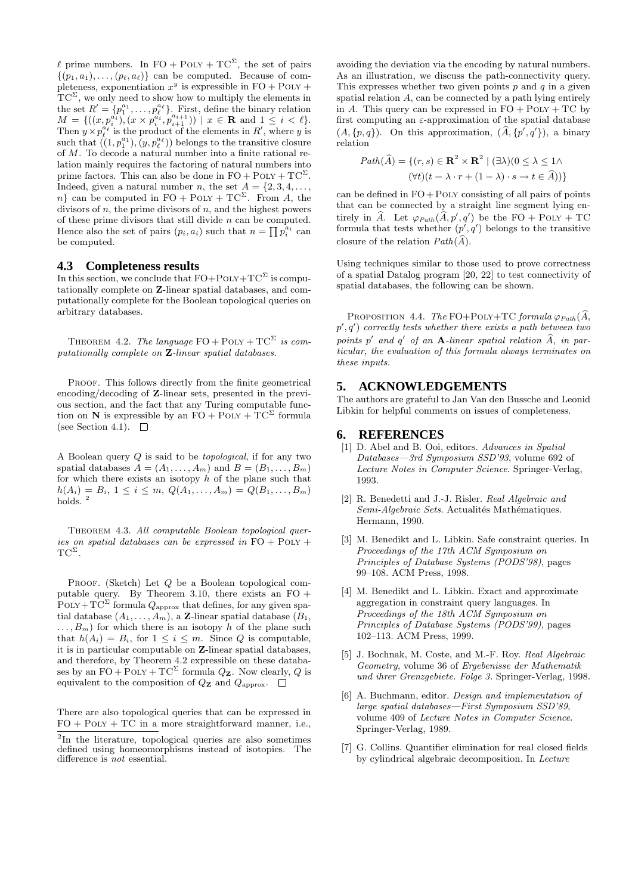$\ell$  prime numbers. In FO + POLY + TC<sup> $\Sigma$ </sup>, the set of pairs  $\{(p_1, a_1), \ldots, (p_\ell, a_\ell)\}\;$  can be computed. Because of completeness, exponentiation  $x^y$  is expressible in FO + POLY +  $TC^{\Sigma}$ , we only need to show how to multiply the elements in the set  $R' = \{p_1^{a_1}, \ldots, p_\ell^{a_\ell}\}\.$  First, define the binary relation  $M = \{((x, p_i^{a_i}), (x \times p_i^{a_i}, p_{i+1}^{a_{i+1}})) \mid x \in \mathbf{R} \text{ and } 1 \leq i < \ell\}.$ Then  $y \times p_{\ell}^{\hat{a}_{\ell}}$  is the product of the elements in  $R'$ , where y is such that  $((1, p_1^{a_1}), (y, p_\ell^{a_\ell}))$  belongs to the transitive closure of M. To decode a natural number into a finite rational relation mainly requires the factoring of natural numbers into prime factors. This can also be done in  $FO + POLY + TC^{\Sigma}$ . Indeed, given a natural number *n*, the set  $A = \{2, 3, 4, \ldots, \}$ n} can be computed in  $FO + POLY + TC^{\Sigma}$ . From A, the divisors of  $n$ , the prime divisors of  $n$ , and the highest powers of these prime divisors that still divide n can be computed. Hence also the set of pairs  $(p_i, a_i)$  such that  $n = \prod p_i^{a_i}$  can be computed.

#### **4.3 Completeness results**

In this section, we conclude that  $FO+POLY+TC^{\Sigma}$  is computationally complete on **Z**-linear spatial databases, and computationally complete for the Boolean topological queries on arbitrary databases.

THEOREM 4.2. The language  $FO + POLY + TC^{\Sigma}$  is computationally complete on **Z**-linear spatial databases.

PROOF. This follows directly from the finite geometrical encoding/decoding of **Z**-linear sets, presented in the previous section, and the fact that any Turing computable function on **N** is expressible by an  $\overline{FO} + \overline{POLY} + \overline{TC^{\Sigma}}$  formula (see Section 4.1).  $\square$ 

A Boolean query Q is said to be topological, if for any two spatial databases  $A = (A_1, \ldots, A_m)$  and  $B = (B_1, \ldots, B_m)$ for which there exists an isotopy  $h$  of the plane such that  $h(A_i) = B_i, 1 \leq i \leq m, Q(A_1, \ldots, A_m) = Q(B_1, \ldots, B_m)$ holds.<sup>2</sup>

Theorem 4.3. All computable Boolean topological queries on spatial databases can be expressed in  $FO + POLY +$  $TC^{\Sigma}$ .

PROOF. (Sketch) Let  $Q$  be a Boolean topological computable query. By Theorem 3.10, there exists an  $FO +$ POLY +  $TC^{\Sigma}$  formula  $Q_{\text{approx}}$  that defines, for any given spatial database  $(A_1, \ldots, A_m)$ , a **Z**-linear spatial database  $(B_1, \ldots, A_m)$  $\dots, B_m$  for which there is an isotopy h of the plane such that  $h(A_i) = B_i$ , for  $1 \leq i \leq m$ . Since Q is computable, it is in particular computable on **Z**-linear spatial databases, and therefore, by Theorem 4.2 expressible on these databases by an  $FO + POLY + TC^{\Sigma}$  formula  $Q_{\mathbf{Z}}$ . Now clearly, Q is equivalent to the composition of  $Q_{\mathbf{Z}}$  and  $Q_{\text{approx}}$ .  $\Box$ 

There are also topological queries that can be expressed in  $FO + POLY + TC$  in a more straightforward manner, i.e.,

avoiding the deviation via the encoding by natural numbers. As an illustration, we discuss the path-connectivity query. This expresses whether two given points  $p$  and  $q$  in a given spatial relation  $A$ , can be connected by a path lying entirely in A. This query can be expressed in  $FO + POLY + TC$  by first computing an  $\varepsilon$ -approximation of the spatial database  $(A, \{p, q\})$ . On this approximation,  $(A, \{p', q'\})$ , a binary relation

$$
Path(\widehat{A}) = \{ (r, s) \in \mathbf{R}^2 \times \mathbf{R}^2 \mid (\exists \lambda)(0 \le \lambda \le 1 \land
$$

$$
(\forall t)(t = \lambda \cdot r + (1 - \lambda) \cdot s \to t \in \widehat{A}) ) \}
$$

can be defined in  $FO + POLY$  consisting of all pairs of points that can be connected by a straight line segment lying entirely in A. Let  $\varphi_{Path}(A, p', q')$  be the FO + Poly + TC formula that tests whether  $(p', q')$  belongs to the transitive closure of the relation  $Path(A)$ .

Using techniques similar to those used to prove correctness of a spatial Datalog program [20, 22] to test connectivity of spatial databases, the following can be shown.

PROPOSITION 4.4. The FO+POLY+TC formula  $\varphi_{Path}(A, \mathcal{L})$  $p', q'$ ) correctly tests whether there exists a path between two  $points \, p' \, and \, q' \, of \, an \, \mathbf{A}$ -linear spatial relation  $A$ , in particular, the evaluation of this formula always terminates on these inputs.

#### **5. ACKNOWLEDGEMENTS**

The authors are grateful to Jan Van den Bussche and Leonid Libkin for helpful comments on issues of completeness.

#### **6. REFERENCES**

- [1] D. Abel and B. Ooi, editors. Advances in Spatial Databases—3rd Symposium SSD'93, volume 692 of Lecture Notes in Computer Science. Springer-Verlag, 1993.
- [2] R. Benedetti and J.-J. Risler. Real Algebraic and Semi-Algebraic Sets. Actualités Mathématiques. Hermann, 1990.
- [3] M. Benedikt and L. Libkin. Safe constraint queries. In Proceedings of the 17th ACM Symposium on Principles of Database Systems (PODS'98), pages 99–108. ACM Press, 1998.
- [4] M. Benedikt and L. Libkin. Exact and approximate aggregation in constraint query languages. In Proceedings of the 18th ACM Symposium on Principles of Database Systems (PODS'99), pages 102–113. ACM Press, 1999.
- [5] J. Bochnak, M. Coste, and M.-F. Roy. Real Algebraic Geometry, volume 36 of Ergebenisse der Mathematik und ihrer Grenzgebiete. Folge 3. Springer-Verlag, 1998.
- [6] A. Buchmann, editor. Design and implementation of large spatial databases—First Symposium SSD'89, volume 409 of Lecture Notes in Computer Science. Springer-Verlag, 1989.
- [7] G. Collins. Quantifier elimination for real closed fields by cylindrical algebraic decomposition. In Lecture

<sup>2</sup>In the literature, topological queries are also sometimes defined using homeomorphisms instead of isotopies. The difference is *not* essential.